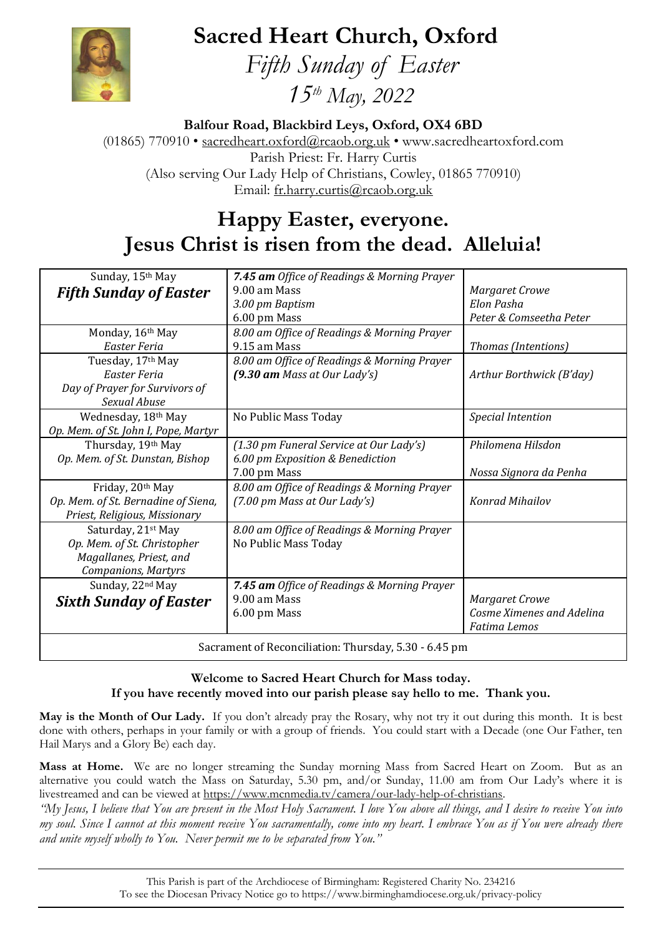# **Sacred Heart Church, Oxford**



 *Fifth Sunday of Easter 15th May, 2022*

**Balfour Road, Blackbird Leys, Oxford, OX4 6BD**

(01865) 770910 • [sacredheart.oxford@rcaob.org.uk](mailto:sacredheart.oxford@rcaob.org.uk) • www.sacredheartoxford.com Parish Priest: Fr. Harry Curtis (Also serving Our Lady Help of Christians, Cowley, 01865 770910) Email: [fr.harry.curtis@rcaob.org.uk](mailto:fr.harry.curtis@rcaob.org.uk)

## **Happy Easter, everyone. Jesus Christ is risen from the dead. Alleluia!**

| Sunday, 15th May                                      | 7.45 am Office of Readings & Morning Prayer |                           |
|-------------------------------------------------------|---------------------------------------------|---------------------------|
| <b>Fifth Sunday of Easter</b>                         | 9.00 am Mass                                | <b>Margaret Crowe</b>     |
|                                                       | 3.00 pm Baptism                             | Elon Pasha                |
|                                                       | 6.00 pm Mass                                | Peter & Comseetha Peter   |
| Monday, 16th May                                      | 8.00 am Office of Readings & Morning Prayer |                           |
| Easter Feria                                          | 9.15 am Mass                                | Thomas (Intentions)       |
| Tuesday, 17th May                                     | 8.00 am Office of Readings & Morning Prayer |                           |
| Easter Feria                                          | $(9.30$ am Mass at Our Lady's)              | Arthur Borthwick (B'day)  |
| Day of Prayer for Survivors of                        |                                             |                           |
| Sexual Abuse                                          |                                             |                           |
| Wednesday, 18th May                                   | No Public Mass Today                        | <b>Special Intention</b>  |
| Op. Mem. of St. John I, Pope, Martyr                  |                                             |                           |
| Thursday, 19th May                                    | (1.30 pm Funeral Service at Our Lady's)     | Philomena Hilsdon         |
| Op. Mem. of St. Dunstan, Bishop                       | 6.00 pm Exposition & Benediction            |                           |
|                                                       | 7.00 pm Mass                                | Nossa Signora da Penha    |
| Friday, 20th May                                      | 8.00 am Office of Readings & Morning Prayer |                           |
| Op. Mem. of St. Bernadine of Siena,                   | (7.00 pm Mass at Our Lady's)                | <b>Konrad Mihailov</b>    |
| Priest, Religious, Missionary                         |                                             |                           |
| Saturday, 21st May                                    | 8.00 am Office of Readings & Morning Prayer |                           |
| Op. Mem. of St. Christopher                           | No Public Mass Today                        |                           |
| Magallanes, Priest, and                               |                                             |                           |
| <b>Companions, Martyrs</b>                            |                                             |                           |
| Sunday, 22nd May                                      | 7.45 am Office of Readings & Morning Prayer |                           |
| <b>Sixth Sunday of Easter</b>                         | 9.00 am Mass                                | <b>Margaret Crowe</b>     |
|                                                       | 6.00 pm Mass                                | Cosme Ximenes and Adelina |
|                                                       |                                             | <b>Fatima</b> Lemos       |
| Sacrament of Reconciliation: Thursday, 5.30 - 6.45 pm |                                             |                           |

#### **Welcome to Sacred Heart Church for Mass today. If you have recently moved into our parish please say hello to me. Thank you.**

**May is the Month of Our Lady.** If you don't already pray the Rosary, why not try it out during this month. It is best done with others, perhaps in your family or with a group of friends. You could start with a Decade (one Our Father, ten Hail Marys and a Glory Be) each day.

**Mass at Home.** We are no longer streaming the Sunday morning Mass from Sacred Heart on Zoom. But as an alternative you could watch the Mass on Saturday, 5.30 pm, and/or Sunday, 11.00 am from Our Lady's where it is livestreamed and can be viewed at [https://www.mcnmedia.tv/camera/our-lady-help-of-christians.](https://www.mcnmedia.tv/camera/our-lady-help-of-christians)

*"My Jesus, I believe that You are present in the Most Holy Sacrament. I love You above all things, and I desire to receive You into my soul. Since I cannot at this moment receive You sacramentally, come into my heart. I embrace You as if You were already there and unite myself wholly to You. Never permit me to be separated from You."*

> This Parish is part of the Archdiocese of Birmingham: Registered Charity No. 234216 To see the Diocesan Privacy Notice go to<https://www.birminghamdiocese.org.uk/privacy-policy>